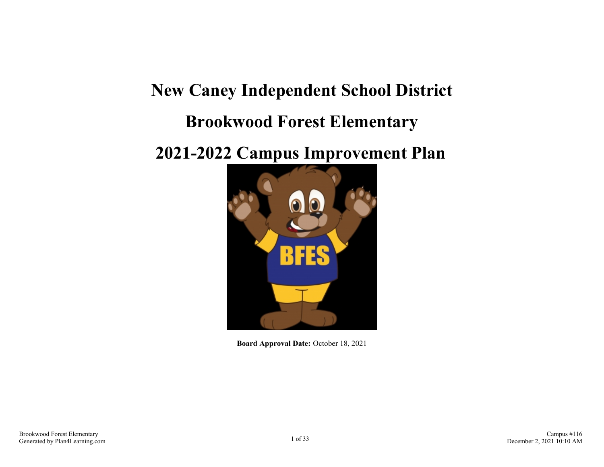# **New Caney Independent School District Brookwood Forest Elementary**

## **2021-2022 Campus Improvement Plan**



**Board Approval Date:** October 18, 2021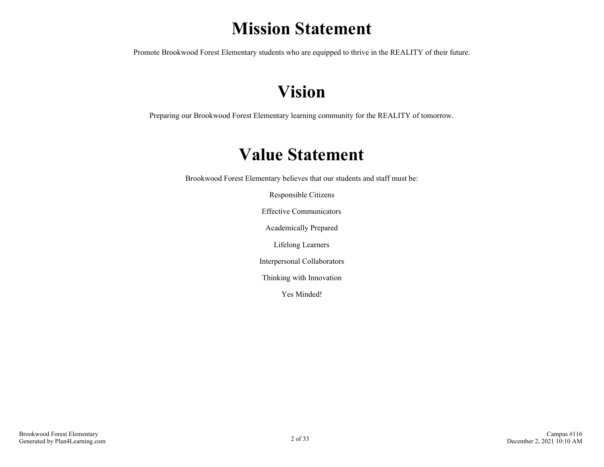## **Mission Statement**

Promote Brookwood Forest Elementary students who are equipped to thrive in the REALITY of their future.

## **Vision**

Preparing our Brookwood Forest Elementary learning community for the REALITY of tomorrow.

## **Value Statement**

Brookwood Forest Elementary believes that our students and staff must be:

Responsible Citizens

Effective Communicators

Academically Prepared

Lifelong Learners

Interpersonal Collaborators

Thinking with Innovation

Yes Minded!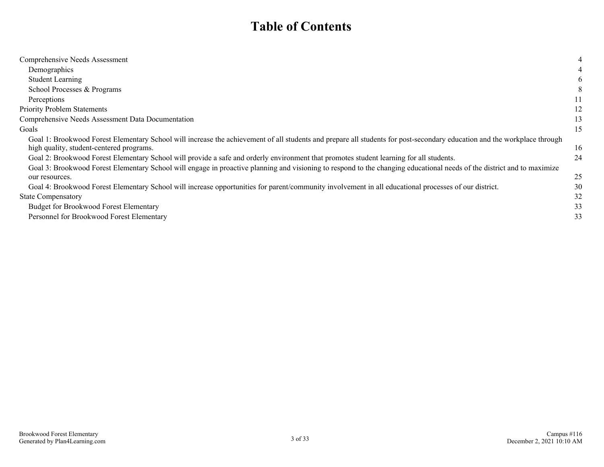## **Table of Contents**

| Comprehensive Needs Assessment                                                                                                                                           | 4  |
|--------------------------------------------------------------------------------------------------------------------------------------------------------------------------|----|
| Demographics                                                                                                                                                             |    |
| <b>Student Learning</b>                                                                                                                                                  | 6  |
| School Processes & Programs                                                                                                                                              | 8  |
| Perceptions                                                                                                                                                              | 11 |
| <b>Priority Problem Statements</b>                                                                                                                                       | 12 |
| Comprehensive Needs Assessment Data Documentation                                                                                                                        | 13 |
| Goals                                                                                                                                                                    | 15 |
| Goal 1: Brookwood Forest Elementary School will increase the achievement of all students and prepare all students for post-secondary education and the workplace through |    |
| high quality, student-centered programs.                                                                                                                                 | 16 |
| Goal 2: Brookwood Forest Elementary School will provide a safe and orderly environment that promotes student learning for all students.                                  | 24 |
| Goal 3: Brookwood Forest Elementary School will engage in proactive planning and visioning to respond to the changing educational needs of the district and to maximize  |    |
| our resources.                                                                                                                                                           | 25 |
| Goal 4: Brookwood Forest Elementary School will increase opportunities for parent/community involvement in all educational processes of our district.                    | 30 |
| <b>State Compensatory</b>                                                                                                                                                | 32 |
| <b>Budget for Brookwood Forest Elementary</b>                                                                                                                            | 33 |
| Personnel for Brookwood Forest Elementary                                                                                                                                | 33 |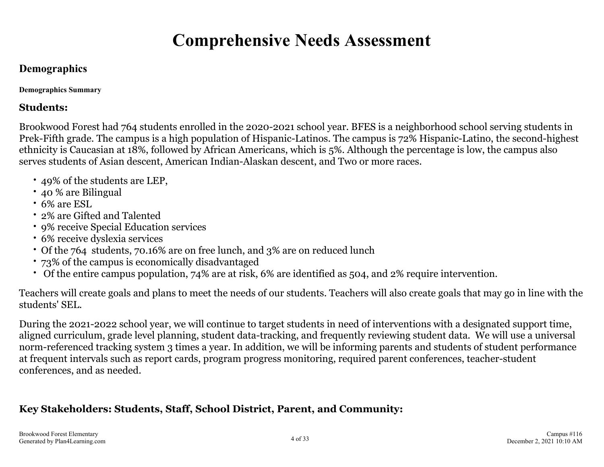## **Comprehensive Needs Assessment**

## <span id="page-3-0"></span>**Demographics**

**Demographics Summary**

### **Students:**

Brookwood Forest had 764 students enrolled in the 2020-2021 school year. BFES is a neighborhood school serving students in Prek-Fifth grade. The campus is a high population of Hispanic-Latinos. The campus is 72% Hispanic-Latino, the second-highest ethnicity is Caucasian at 18%, followed by African Americans, which is 5%. Although the percentage is low, the campus also serves students of Asian descent, American Indian-Alaskan descent, and Two or more races.

- 49% of the students are LEP,
- 40 % are Bilingual
- 6% are ESL
- 2% are Gifted and Talented
- 9% receive Special Education services
- 6% receive dyslexia services
- Of the 764 students, 70.16% are on free lunch, and 3% are on reduced lunch
- 73% of the campus is economically disadvantaged
- Of the entire campus population, 74% are at risk, 6% are identified as 504, and 2% require intervention.

Teachers will create goals and plans to meet the needs of our students. Teachers will also create goals that may go in line with the students' SEL.

During the 2021-2022 school year, we will continue to target students in need of interventions with a designated support time, aligned curriculum, grade level planning, student data-tracking, and frequently reviewing student data. We will use a universal norm-referenced tracking system 3 times a year. In addition, we will be informing parents and students of student performance at frequent intervals such as report cards, program progress monitoring, required parent conferences, teacher-student conferences, and as needed.

## **Key Stakeholders: Students, Staff, School District, Parent, and Community:**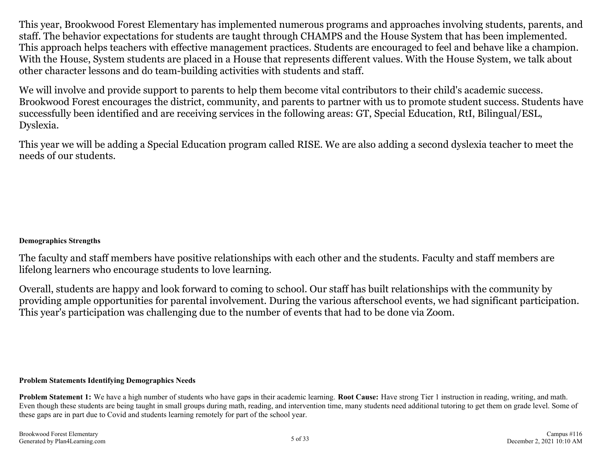This year, Brookwood Forest Elementary has implemented numerous programs and approaches involving students, parents, and staff. The behavior expectations for students are taught through CHAMPS and the House System that has been implemented. This approach helps teachers with effective management practices. Students are encouraged to feel and behave like a champion. With the House, System students are placed in a House that represents different values. With the House System, we talk about other character lessons and do team-building activities with students and staff.

We will involve and provide support to parents to help them become vital contributors to their child's academic success. Brookwood Forest encourages the district, community, and parents to partner with us to promote student success. Students have successfully been identified and are receiving services in the following areas: GT, Special Education, RtI, Bilingual/ESL, Dyslexia.

This year we will be adding a Special Education program called RISE. We are also adding a second dyslexia teacher to meet the needs of our students.

#### **Demographics Strengths**

The faculty and staff members have positive relationships with each other and the students. Faculty and staff members are lifelong learners who encourage students to love learning.

Overall, students are happy and look forward to coming to school. Our staff has built relationships with the community by providing ample opportunities for parental involvement. During the various afterschool events, we had significant participation. This year's participation was challenging due to the number of events that had to be done via Zoom.

#### **Problem Statements Identifying Demographics Needs**

**Problem Statement 1:** We have a high number of students who have gaps in their academic learning. **Root Cause:** Have strong Tier 1 instruction in reading, writing, and math. Even though these students are being taught in small groups during math, reading, and intervention time, many students need additional tutoring to get them on grade level. Some of these gaps are in part due to Covid and students learning remotely for part of the school year.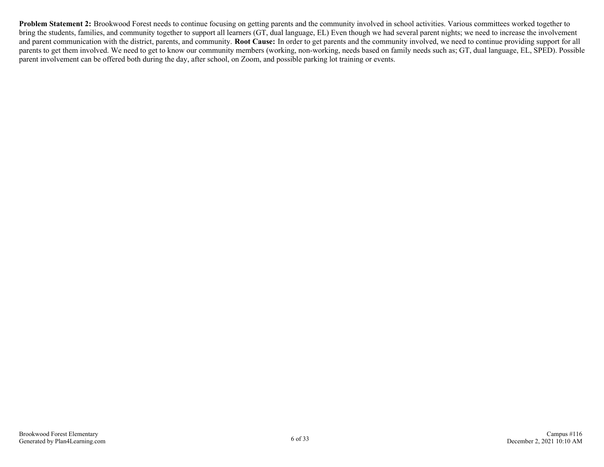**Problem Statement 2:** Brookwood Forest needs to continue focusing on getting parents and the community involved in school activities. Various committees worked together to bring the students, families, and community together to support all learners (GT, dual language, EL) Even though we had several parent nights; we need to increase the involvement and parent communication with the district, parents, and community. **Root Cause:** In order to get parents and the community involved, we need to continue providing support for all parents to get them involved. We need to get to know our community members (working, non-working, needs based on family needs such as; GT, dual language, EL, SPED). Possible parent involvement can be offered both during the day, after school, on Zoom, and possible parking lot training or events.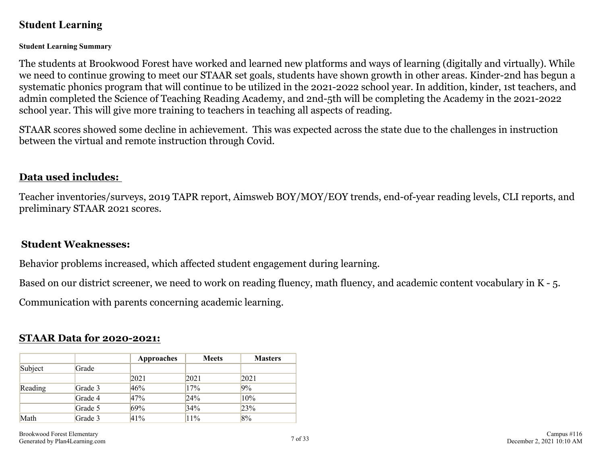## <span id="page-6-0"></span>**Student Learning**

#### **Student Learning Summary**

The students at Brookwood Forest have worked and learned new platforms and ways of learning (digitally and virtually). While we need to continue growing to meet our STAAR set goals, students have shown growth in other areas. Kinder-2nd has begun a systematic phonics program that will continue to be utilized in the 2021-2022 school year. In addition, kinder, 1st teachers, and admin completed the Science of Teaching Reading Academy, and 2nd-5th will be completing the Academy in the 2021-2022 school year. This will give more training to teachers in teaching all aspects of reading.

STAAR scores showed some decline in achievement. This was expected across the state due to the challenges in instruction between the virtual and remote instruction through Covid.

### **Data used includes:**

Teacher inventories/surveys, 2019 TAPR report, Aimsweb BOY/MOY/EOY trends, end-of-year reading levels, CLI reports, and preliminary STAAR 2021 scores.

### **Student Weaknesses:**

Behavior problems increased, which affected student engagement during learning.

Based on our district screener, we need to work on reading fluency, math fluency, and academic content vocabulary in K - 5.

Communication with parents concerning academic learning.

### **STAAR Data for 2020-2021:**

|         |         | Approaches | <b>Meets</b> | <b>Masters</b> |
|---------|---------|------------|--------------|----------------|
| Subject | Grade   |            |              |                |
|         |         | 2021       | 2021         | 2021           |
| Reading | Grade 3 | 46%        | 17%          | 9%             |
|         | Grade 4 | 47%        | 24%          | 10%            |
|         | Grade 5 | 69%        | 34%          | 23%            |
| Math    | Grade 3 | 41%        | $11\%$       | 8%             |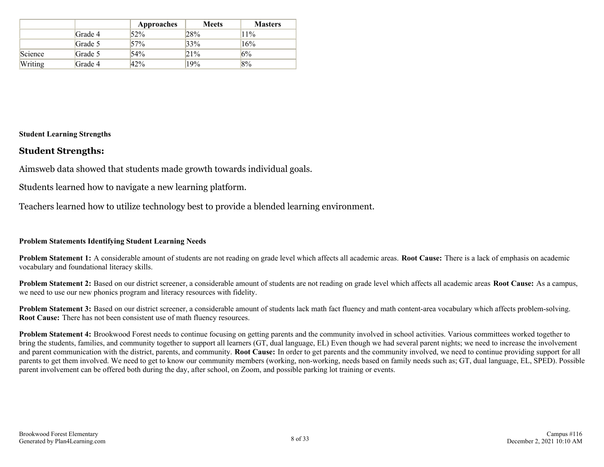|         |         | Approaches | <b>Meets</b> | <b>Masters</b> |
|---------|---------|------------|--------------|----------------|
|         | Grade 4 | 52%        | 28%          | $11\%$         |
|         | Grade 5 | 57%        | 33%          | 16%            |
| Science | Grade 5 | 54%        | 21%          | 6%             |
| Writing | Grade 4 | 42%        | 19%          | 8%             |

#### **Student Learning Strengths**

#### **Student Strengths:**

Aimsweb data showed that students made growth towards individual goals.

Students learned how to navigate a new learning platform.

Teachers learned how to utilize technology best to provide a blended learning environment.

#### **Problem Statements Identifying Student Learning Needs**

**Problem Statement 1:** A considerable amount of students are not reading on grade level which affects all academic areas. **Root Cause:** There is a lack of emphasis on academic vocabulary and foundational literacy skills.

**Problem Statement 2:** Based on our district screener, a considerable amount of students are not reading on grade level which affects all academic areas **Root Cause:** As a campus, we need to use our new phonics program and literacy resources with fidelity.

**Problem Statement 3:** Based on our district screener, a considerable amount of students lack math fact fluency and math content-area vocabulary which affects problem-solving. **Root Cause:** There has not been consistent use of math fluency resources.

**Problem Statement 4:** Brookwood Forest needs to continue focusing on getting parents and the community involved in school activities. Various committees worked together to bring the students, families, and community together to support all learners (GT, dual language, EL) Even though we had several parent nights; we need to increase the involvement and parent communication with the district, parents, and community. **Root Cause:** In order to get parents and the community involved, we need to continue providing support for all parents to get them involved. We need to get to know our community members (working, non-working, needs based on family needs such as; GT, dual language, EL, SPED). Possible parent involvement can be offered both during the day, after school, on Zoom, and possible parking lot training or events.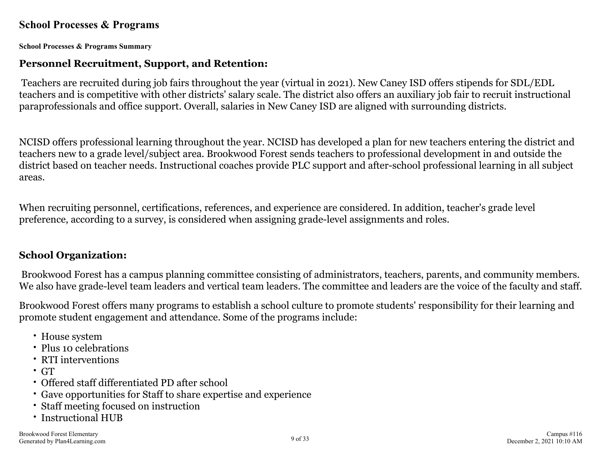### <span id="page-8-0"></span>**School Processes & Programs**

**School Processes & Programs Summary**

### **Personnel Recruitment, Support, and Retention:**

Teachers are recruited during job fairs throughout the year (virtual in 2021). New Caney ISD offers stipends for SDL/EDL teachers and is competitive with other districts' salary scale. The district also offers an auxiliary job fair to recruit instructional paraprofessionals and office support. Overall, salaries in New Caney ISD are aligned with surrounding districts.

NCISD offers professional learning throughout the year. NCISD has developed a plan for new teachers entering the district and teachers new to a grade level/subject area. Brookwood Forest sends teachers to professional development in and outside the district based on teacher needs. Instructional coaches provide PLC support and after-school professional learning in all subject areas.

When recruiting personnel, certifications, references, and experience are considered. In addition, teacher's grade level preference, according to a survey, is considered when assigning grade-level assignments and roles.

## **School Organization:**

Brookwood Forest has a campus planning committee consisting of administrators, teachers, parents, and community members. We also have grade-level team leaders and vertical team leaders. The committee and leaders are the voice of the faculty and staff.

Brookwood Forest offers many programs to establish a school culture to promote students' responsibility for their learning and promote student engagement and attendance. Some of the programs include:

- House system
- Plus 10 celebrations
- RTI interventions
- GT
- Offered staff differentiated PD after school
- Gave opportunities for Staff to share expertise and experience
- Staff meeting focused on instruction
- Instructional HUB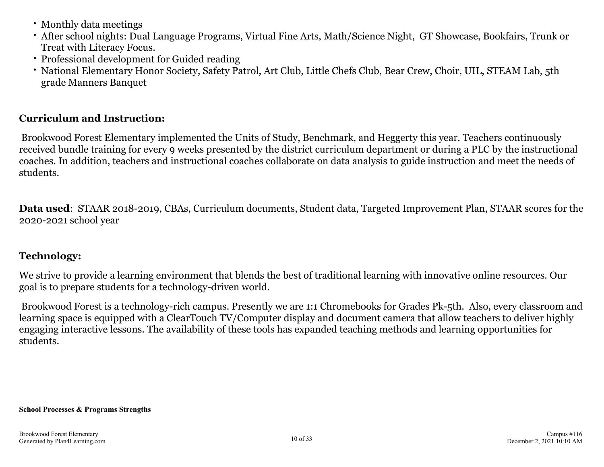- Monthly data meetings
- After school nights: Dual Language Programs, Virtual Fine Arts, Math/Science Night, GT Showcase, Bookfairs, Trunk or Treat with Literacy Focus.
- Professional development for Guided reading
- National Elementary Honor Society, Safety Patrol, Art Club, Little Chefs Club, Bear Crew, Choir, UIL, STEAM Lab, 5th grade Manners Banquet

## **Curriculum and Instruction:**

Brookwood Forest Elementary implemented the Units of Study, Benchmark, and Heggerty this year. Teachers continuously received bundle training for every 9 weeks presented by the district curriculum department or during a PLC by the instructional coaches. In addition, teachers and instructional coaches collaborate on data analysis to guide instruction and meet the needs of students.

**Data used**: STAAR 2018-2019, CBAs, Curriculum documents, Student data, Targeted Improvement Plan, STAAR scores for the 2020-2021 school year

## **Technology:**

We strive to provide a learning environment that blends the best of traditional learning with innovative online resources. Our goal is to prepare students for a technology-driven world.

Brookwood Forest is a technology-rich campus. Presently we are 1:1 Chromebooks for Grades Pk-5th. Also, every classroom and learning space is equipped with a ClearTouch TV/Computer display and document camera that allow teachers to deliver highly engaging interactive lessons. The availability of these tools has expanded teaching methods and learning opportunities for students.

#### **School Processes & Programs Strengths**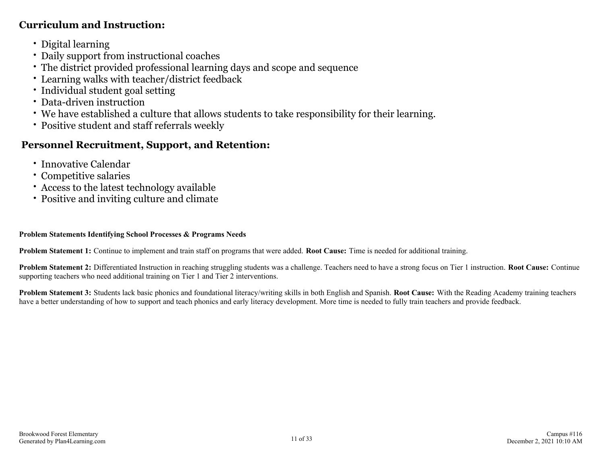### **Curriculum and Instruction:**

- Digital learning
- Daily support from instructional coaches
- The district provided professional learning days and scope and sequence
- Learning walks with teacher/district feedback
- Individual student goal setting
- Data-driven instruction
- We have established a culture that allows students to take responsibility for their learning.
- Positive student and staff referrals weekly

## **Personnel Recruitment, Support, and Retention:**

- Innovative Calendar
- Competitive salaries
- Access to the latest technology available
- Positive and inviting culture and climate

#### **Problem Statements Identifying School Processes & Programs Needs**

**Problem Statement 1:** Continue to implement and train staff on programs that were added. **Root Cause:** Time is needed for additional training.

**Problem Statement 2:** Differentiated Instruction in reaching struggling students was a challenge. Teachers need to have a strong focus on Tier 1 instruction. **Root Cause:** Continue supporting teachers who need additional training on Tier 1 and Tier 2 interventions.

**Problem Statement 3:** Students lack basic phonics and foundational literacy/writing skills in both English and Spanish. **Root Cause:** With the Reading Academy training teachers have a better understanding of how to support and teach phonics and early literacy development. More time is needed to fully train teachers and provide feedback.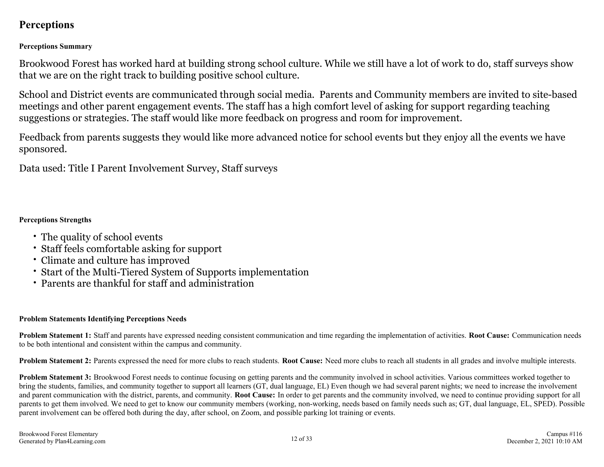## <span id="page-11-0"></span>**Perceptions**

#### **Perceptions Summary**

Brookwood Forest has worked hard at building strong school culture. While we still have a lot of work to do, staff surveys show that we are on the right track to building positive school culture.

School and District events are communicated through social media. Parents and Community members are invited to site-based meetings and other parent engagement events. The staff has a high comfort level of asking for support regarding teaching suggestions or strategies. The staff would like more feedback on progress and room for improvement.

Feedback from parents suggests they would like more advanced notice for school events but they enjoy all the events we have sponsored.

Data used: Title I Parent Involvement Survey, Staff surveys

#### **Perceptions Strengths**

- The quality of school events
- Staff feels comfortable asking for support
- Climate and culture has improved
- Start of the Multi-Tiered System of Supports implementation
- Parents are thankful for staff and administration

#### **Problem Statements Identifying Perceptions Needs**

**Problem Statement 1:** Staff and parents have expressed needing consistent communication and time regarding the implementation of activities. **Root Cause:** Communication needs to be both intentional and consistent within the campus and community.

**Problem Statement 2:** Parents expressed the need for more clubs to reach students. **Root Cause:** Need more clubs to reach all students in all grades and involve multiple interests.

**Problem Statement 3:** Brookwood Forest needs to continue focusing on getting parents and the community involved in school activities. Various committees worked together to bring the students, families, and community together to support all learners (GT, dual language, EL) Even though we had several parent nights; we need to increase the involvement and parent communication with the district, parents, and community. **Root Cause:** In order to get parents and the community involved, we need to continue providing support for all parents to get them involved. We need to get to know our community members (working, non-working, needs based on family needs such as; GT, dual language, EL, SPED). Possible parent involvement can be offered both during the day, after school, on Zoom, and possible parking lot training or events.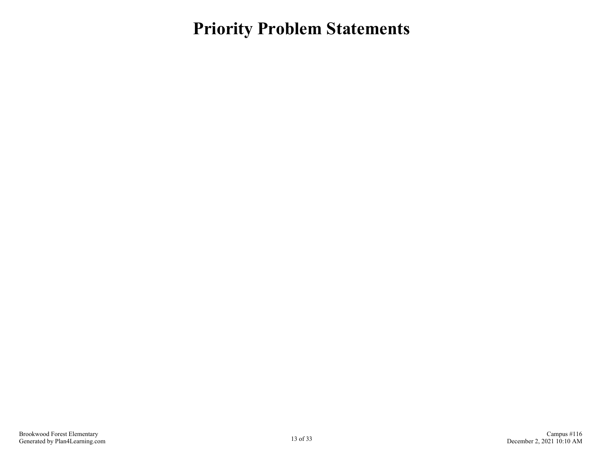<span id="page-12-0"></span>**Priority Problem Statements**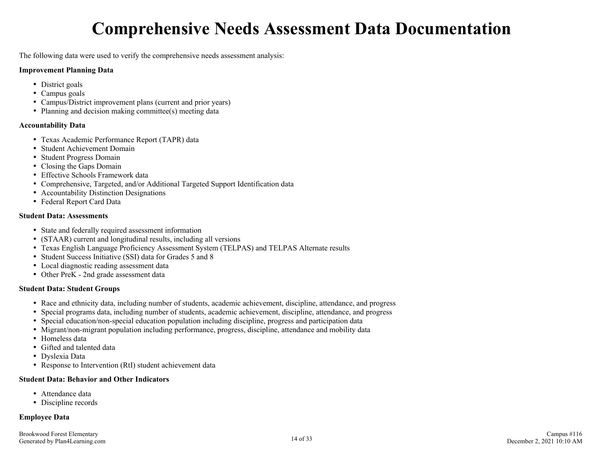## **Comprehensive Needs Assessment Data Documentation**

<span id="page-13-0"></span>The following data were used to verify the comprehensive needs assessment analysis:

#### **Improvement Planning Data**

- District goals
- Campus goals
- Campus/District improvement plans (current and prior years)
- Planning and decision making committee(s) meeting data

#### **Accountability Data**

- Texas Academic Performance Report (TAPR) data
- Student Achievement Domain
- Student Progress Domain
- Closing the Gaps Domain
- Effective Schools Framework data
- Comprehensive, Targeted, and/or Additional Targeted Support Identification data
- Accountability Distinction Designations
- Federal Report Card Data

#### **Student Data: Assessments**

- State and federally required assessment information
- (STAAR) current and longitudinal results, including all versions
- Texas English Language Proficiency Assessment System (TELPAS) and TELPAS Alternate results
- Student Success Initiative (SSI) data for Grades 5 and 8
- Local diagnostic reading assessment data
- Other PreK 2nd grade assessment data

#### **Student Data: Student Groups**

- Race and ethnicity data, including number of students, academic achievement, discipline, attendance, and progress
- Special programs data, including number of students, academic achievement, discipline, attendance, and progress
- Special education/non-special education population including discipline, progress and participation data
- Migrant/non-migrant population including performance, progress, discipline, attendance and mobility data
- Homeless data
- Gifted and talented data
- Dyslexia Data
- Response to Intervention (RtI) student achievement data

#### **Student Data: Behavior and Other Indicators**

- Attendance data
- Discipline records

#### **Employee Data**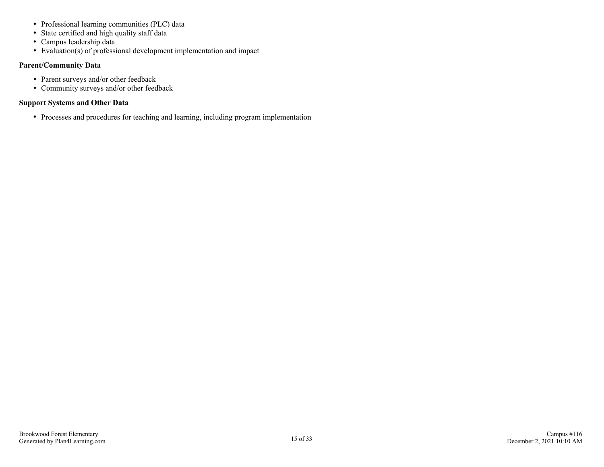- Professional learning communities (PLC) data
- State certified and high quality staff data
- Campus leadership data
- Evaluation(s) of professional development implementation and impact

#### **Parent/Community Data**

- Parent surveys and/or other feedback
- Community surveys and/or other feedback

#### **Support Systems and Other Data**

Processes and procedures for teaching and learning, including program implementation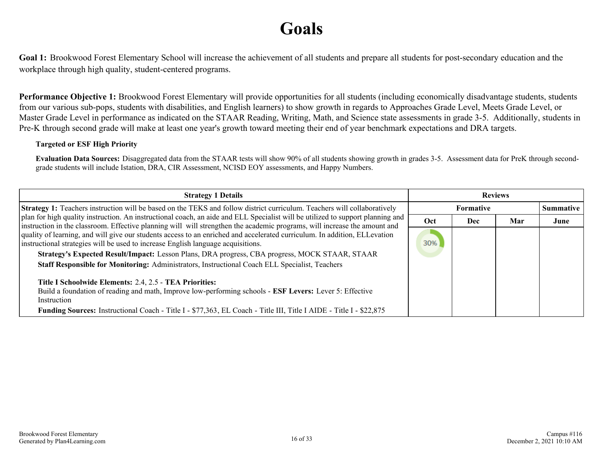## **Goals**

<span id="page-15-0"></span>**Goal 1:** Brookwood Forest Elementary School will increase the achievement of all students and prepare all students for post-secondary education and the workplace through high quality, student-centered programs.

**Performance Objective 1:** Brookwood Forest Elementary will provide opportunities for all students (including economically disadvantage students, students from our various sub-pops, students with disabilities, and English learners) to show growth in regards to Approaches Grade Level, Meets Grade Level, or Master Grade Level in performance as indicated on the STAAR Reading, Writing, Math, and Science state assessments in grade 3-5. Additionally, students in Pre-K through second grade will make at least one year's growth toward meeting their end of year benchmark expectations and DRA targets.

#### **Targeted or ESF High Priority**

Evaluation Data Sources: Disaggregated data from the STAAR tests will show 90% of all students showing growth in grades 3-5. Assessment data for PreK through secondgrade students will include Istation, DRA, CIR Assessment, NCISD EOY assessments, and Happy Numbers.

| <b>Strategy 1 Details</b>                                                                                                                                                                                                                                                                                                                                                                                         | <b>Reviews</b> |            |     |                  |
|-------------------------------------------------------------------------------------------------------------------------------------------------------------------------------------------------------------------------------------------------------------------------------------------------------------------------------------------------------------------------------------------------------------------|----------------|------------|-----|------------------|
| <b>Strategy 1:</b> Teachers instruction will be based on the TEKS and follow district curriculum. Teachers will collaboratively                                                                                                                                                                                                                                                                                   |                | Formative  |     | <b>Summative</b> |
| plan for high quality instruction. An instructional coach, an aide and ELL Specialist will be utilized to support planning and<br>instruction in the classroom. Effective planning will will strengthen the academic programs, will increase the amount and                                                                                                                                                       | <b>Oct</b>     | <b>Dec</b> | Mar | June             |
| quality of learning, and will give our students access to an enriched and accelerated curriculum. In addition, ELLevation<br>instructional strategies will be used to increase English language acquisitions.<br>Strategy's Expected Result/Impact: Lesson Plans, DRA progress, CBA progress, MOCK STAAR, STAAR<br>Staff Responsible for Monitoring: Administrators, Instructional Coach ELL Specialist, Teachers | 30%            |            |     |                  |
| Title I Schoolwide Elements: 2.4, 2.5 - TEA Priorities:<br>Build a foundation of reading and math, Improve low-performing schools - ESF Levers: Lever 5: Effective<br>Instruction<br><b>Funding Sources:</b> Instructional Coach - Title I - \$77,363, EL Coach - Title III, Title I AIDE - Title I - \$22,875                                                                                                    |                |            |     |                  |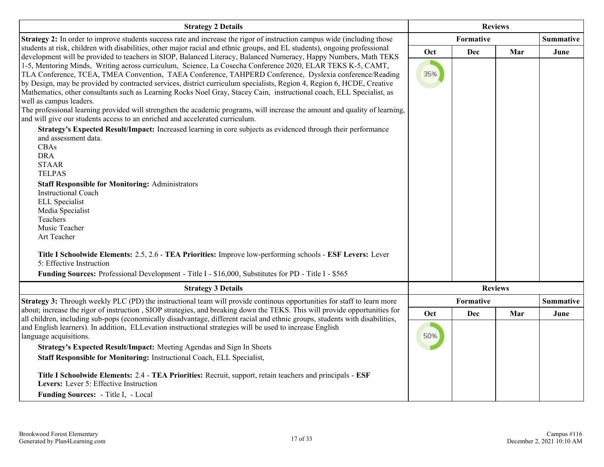| <b>Strategy 2 Details</b>                                                                                                                                                                                                                                                                                                                                                                                                                                                                                                                                                                                                                                                                                                                                                                                                                                                                                                                                                                                                                                                                                                                                                                                                                                                                                                                              | <b>Reviews</b> |                  |     |                  |
|--------------------------------------------------------------------------------------------------------------------------------------------------------------------------------------------------------------------------------------------------------------------------------------------------------------------------------------------------------------------------------------------------------------------------------------------------------------------------------------------------------------------------------------------------------------------------------------------------------------------------------------------------------------------------------------------------------------------------------------------------------------------------------------------------------------------------------------------------------------------------------------------------------------------------------------------------------------------------------------------------------------------------------------------------------------------------------------------------------------------------------------------------------------------------------------------------------------------------------------------------------------------------------------------------------------------------------------------------------|----------------|------------------|-----|------------------|
| Strategy 2: In order to improve students success rate and increase the rigor of instruction campus wide (including those                                                                                                                                                                                                                                                                                                                                                                                                                                                                                                                                                                                                                                                                                                                                                                                                                                                                                                                                                                                                                                                                                                                                                                                                                               |                | Formative        |     | <b>Summative</b> |
| students at risk, children with disabilities, other major racial and ethnic groups, and EL students), ongoing professional<br>development will be provided to teachers in SIOP, Balanced Literacy, Balanced Numeracy, Happy Numbers, Math TEKS<br>1-5, Mentoring Minds, Writing across curriculum, Science, La Cosecha Conference 2020, ELAR TEKS K-5, CAMT,<br>TLA Conference, TCEA, TMEA Convention, TAEA Conference, TAHPERD Conference, Dyslexia conference/Reading<br>by Design, may be provided by contracted services, district curriculum specialists, Region 4, Region 6, HCDE, Creative<br>Mathematics, other consultants such as Learning Rocks Noel Gray, Stacey Cain, instructional coach, ELL Specialist, as<br>well as campus leaders.<br>The professional learning provided will strengthen the academic programs, will increase the amount and quality of learning,<br>and will give our students access to an enriched and accelerated curriculum.<br>Strategy's Expected Result/Impact: Increased learning in core subjects as evidenced through their performance<br>and assessment data.<br>CBAs<br><b>DRA</b><br><b>STAAR</b><br><b>TELPAS</b><br><b>Staff Responsible for Monitoring: Administrators</b><br><b>Instructional Coach</b><br><b>ELL</b> Specialist<br>Media Specialist<br>Teachers<br>Music Teacher<br>Art Teacher | Oct<br>35%     | <b>Dec</b>       | Mar | June             |
| Title I Schoolwide Elements: 2.5, 2.6 - TEA Priorities: Improve low-performing schools - ESF Levers: Lever<br>5: Effective Instruction<br>Funding Sources: Professional Development - Title I - \$16,000, Substitutes for PD - Title I - \$565                                                                                                                                                                                                                                                                                                                                                                                                                                                                                                                                                                                                                                                                                                                                                                                                                                                                                                                                                                                                                                                                                                         |                |                  |     |                  |
| <b>Strategy 3 Details</b>                                                                                                                                                                                                                                                                                                                                                                                                                                                                                                                                                                                                                                                                                                                                                                                                                                                                                                                                                                                                                                                                                                                                                                                                                                                                                                                              |                | <b>Reviews</b>   |     |                  |
| Strategy 3: Through weekly PLC (PD) the instructional team will provide continous opportunities for staff to learn more                                                                                                                                                                                                                                                                                                                                                                                                                                                                                                                                                                                                                                                                                                                                                                                                                                                                                                                                                                                                                                                                                                                                                                                                                                |                | <b>Formative</b> |     | <b>Summative</b> |
| about; increase the rigor of instruction, SIOP strategies, and breaking down the TEKS. This will provide opportunities for                                                                                                                                                                                                                                                                                                                                                                                                                                                                                                                                                                                                                                                                                                                                                                                                                                                                                                                                                                                                                                                                                                                                                                                                                             | Oct            | <b>Dec</b>       | Mar | June             |
| all children, including sub-pops (economically disadvantage, different racial and ethnic groups, students with disabilities,<br>and English learners). In addition, ELLevation instructional strategies will be used to increase English<br>language acquisitions.<br>Strategy's Expected Result/Impact: Meeting Agendas and Sign In Sheets<br>Staff Responsible for Monitoring: Instructional Coach, ELL Specialist,<br>Title I Schoolwide Elements: 2.4 - TEA Priorities: Recruit, support, retain teachers and principals - ESF<br>Levers: Lever 5: Effective Instruction<br>Funding Sources: - Title I, - Local                                                                                                                                                                                                                                                                                                                                                                                                                                                                                                                                                                                                                                                                                                                                    | 50%            |                  |     |                  |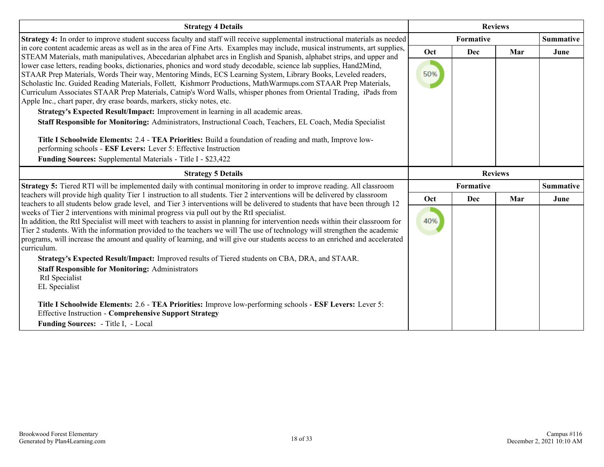| <b>Strategy 4 Details</b>                                                                                                                                                                                                                                                                                                                                                                                                                                                                                                                            |                | <b>Reviews</b>   |     |                  |
|------------------------------------------------------------------------------------------------------------------------------------------------------------------------------------------------------------------------------------------------------------------------------------------------------------------------------------------------------------------------------------------------------------------------------------------------------------------------------------------------------------------------------------------------------|----------------|------------------|-----|------------------|
| Strategy 4: In order to improve student success faculty and staff will receive supplemental instructional materials as needed                                                                                                                                                                                                                                                                                                                                                                                                                        |                | <b>Formative</b> |     | <b>Summative</b> |
| in core content academic areas as well as in the area of Fine Arts. Examples may include, musical instruments, art supplies,<br>STEAM Materials, math manipulatives, Abecedarian alphabet arcs in English and Spanish, alphabet strips, and upper and                                                                                                                                                                                                                                                                                                | Oct            | Dec              | Mar | June             |
| lower case letters, reading books, dictionaries, phonics and word study decodable, science lab supplies, Hand2Mind,<br>STAAR Prep Materials, Words Their way, Mentoring Minds, ECS Learning System, Library Books, Leveled readers,<br>Scholastic Inc. Guided Reading Materials, Follett, Kishmorr Productions, MathWarmups.com STAAR Prep Materials,<br>Curriculum Associates STAAR Prep Materials, Catnip's Word Walls, whisper phones from Oriental Trading, iPads from<br>Apple Inc., chart paper, dry erase boards, markers, sticky notes, etc. | 50%            |                  |     |                  |
| Strategy's Expected Result/Impact: Improvement in learning in all academic areas.                                                                                                                                                                                                                                                                                                                                                                                                                                                                    |                |                  |     |                  |
| Staff Responsible for Monitoring: Administrators, Instructional Coach, Teachers, EL Coach, Media Specialist<br>Title I Schoolwide Elements: 2.4 - TEA Priorities: Build a foundation of reading and math, Improve low-<br>performing schools - ESF Levers: Lever 5: Effective Instruction<br>Funding Sources: Supplemental Materials - Title I - \$23,422                                                                                                                                                                                            |                |                  |     |                  |
| <b>Strategy 5 Details</b>                                                                                                                                                                                                                                                                                                                                                                                                                                                                                                                            | <b>Reviews</b> |                  |     |                  |
| Strategy 5: Tiered RTI will be implemented daily with continual monitoring in order to improve reading. All classroom                                                                                                                                                                                                                                                                                                                                                                                                                                |                | <b>Formative</b> |     | <b>Summative</b> |
| teachers will provide high quality Tier 1 instruction to all students. Tier 2 interventions will be delivered by classroom<br>teachers to all students below grade level, and Tier 3 interventions will be delivered to students that have been through 12                                                                                                                                                                                                                                                                                           | Oct            | Dec              | Mar | June             |
| weeks of Tier 2 interventions with minimal progress via pull out by the RtI specialist.<br>In addition, the RtI Specialist will meet with teachers to assist in planning for intervention needs within their classroom for<br>Tier 2 students. With the information provided to the teachers we will The use of technology will strengthen the academic<br>programs, will increase the amount and quality of learning, and will give our students access to an enriched and accelerated<br>curriculum.                                               | 40%            |                  |     |                  |
| Strategy's Expected Result/Impact: Improved results of Tiered students on CBA, DRA, and STAAR.                                                                                                                                                                                                                                                                                                                                                                                                                                                       |                |                  |     |                  |
| <b>Staff Responsible for Monitoring: Administrators</b><br>RtI Specialist<br>EL Specialist                                                                                                                                                                                                                                                                                                                                                                                                                                                           |                |                  |     |                  |
| Title I Schoolwide Elements: 2.6 - TEA Priorities: Improve low-performing schools - ESF Levers: Lever 5:<br><b>Effective Instruction - Comprehensive Support Strategy</b>                                                                                                                                                                                                                                                                                                                                                                            |                |                  |     |                  |
| Funding Sources: - Title I, - Local                                                                                                                                                                                                                                                                                                                                                                                                                                                                                                                  |                |                  |     |                  |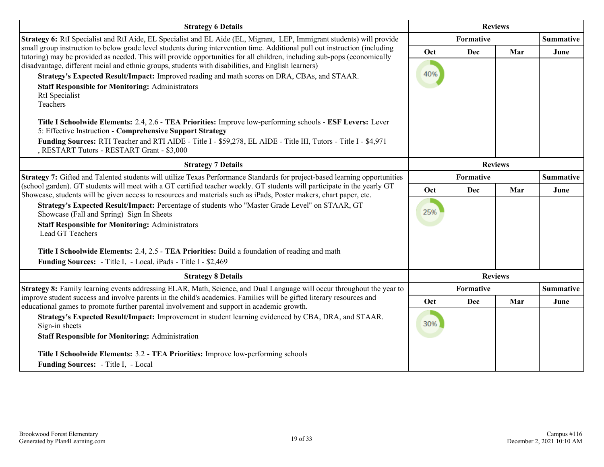| <b>Strategy 6 Details</b>                                                                                                                                                                                                                                                                                                                                                    | <b>Reviews</b> |           |                |                  |
|------------------------------------------------------------------------------------------------------------------------------------------------------------------------------------------------------------------------------------------------------------------------------------------------------------------------------------------------------------------------------|----------------|-----------|----------------|------------------|
| Strategy 6: RtI Specialist and RtI Aide, EL Specialist and EL Aide (EL, Migrant, LEP, Immigrant students) will provide                                                                                                                                                                                                                                                       |                | Formative |                | <b>Summative</b> |
| small group instruction to below grade level students during intervention time. Additional pull out instruction (including<br>tutoring) may be provided as needed. This will provide opportunities for all children, including sub-pops (economically<br>disadvantage, different racial and ethnic groups, students with disabilities, and English learners)                 | Oct            | Dec       | Mar            | June             |
| Strategy's Expected Result/Impact: Improved reading and math scores on DRA, CBAs, and STAAR.                                                                                                                                                                                                                                                                                 | 40%            |           |                |                  |
| <b>Staff Responsible for Monitoring: Administrators</b><br>RtI Specialist<br>Teachers                                                                                                                                                                                                                                                                                        |                |           |                |                  |
| Title I Schoolwide Elements: 2.4, 2.6 - TEA Priorities: Improve low-performing schools - ESF Levers: Lever<br>5: Effective Instruction - Comprehensive Support Strategy<br>Funding Sources: RTI Teacher and RTI AIDE - Title I - \$59,278, EL AIDE - Title III, Tutors - Title I - \$4,971                                                                                   |                |           |                |                  |
| , RESTART Tutors - RESTART Grant - \$3,000                                                                                                                                                                                                                                                                                                                                   |                |           |                |                  |
| <b>Strategy 7 Details</b>                                                                                                                                                                                                                                                                                                                                                    | <b>Reviews</b> |           |                |                  |
| Strategy 7: Gifted and Talented students will utilize Texas Performance Standards for project-based learning opportunities<br>(school garden). GT students will meet with a GT certified teacher weekly. GT students will participate in the yearly GT<br>Showcase, students will be given access to resources and materials such as iPads, Poster makers, chart paper, etc. |                | Formative |                | <b>Summative</b> |
|                                                                                                                                                                                                                                                                                                                                                                              | Oct            | Dec       | Mar            | June             |
| Strategy's Expected Result/Impact: Percentage of students who "Master Grade Level" on STAAR, GT<br>Showcase (Fall and Spring) Sign In Sheets                                                                                                                                                                                                                                 | 25%            |           |                |                  |
| <b>Staff Responsible for Monitoring: Administrators</b><br>Lead GT Teachers                                                                                                                                                                                                                                                                                                  |                |           |                |                  |
| Title I Schoolwide Elements: 2.4, 2.5 - TEA Priorities: Build a foundation of reading and math                                                                                                                                                                                                                                                                               |                |           |                |                  |
| Funding Sources: - Title I, - Local, iPads - Title I - \$2,469                                                                                                                                                                                                                                                                                                               |                |           |                |                  |
| <b>Strategy 8 Details</b>                                                                                                                                                                                                                                                                                                                                                    |                |           | <b>Reviews</b> |                  |
| Strategy 8: Family learning events addressing ELAR, Math, Science, and Dual Language will occur throughout the year to                                                                                                                                                                                                                                                       |                | Formative |                | <b>Summative</b> |
| improve student success and involve parents in the child's academics. Families will be gifted literary resources and<br>educational games to promote further parental involvement and support in academic growth.                                                                                                                                                            | Oct            | Dec       | Mar            | June             |
| Strategy's Expected Result/Impact: Improvement in student learning evidenced by CBA, DRA, and STAAR.<br>Sign-in sheets                                                                                                                                                                                                                                                       | 30%            |           |                |                  |
| <b>Staff Responsible for Monitoring: Administration</b>                                                                                                                                                                                                                                                                                                                      |                |           |                |                  |
| Title I Schoolwide Elements: 3.2 - TEA Priorities: Improve low-performing schools                                                                                                                                                                                                                                                                                            |                |           |                |                  |
| Funding Sources: - Title I, - Local                                                                                                                                                                                                                                                                                                                                          |                |           |                |                  |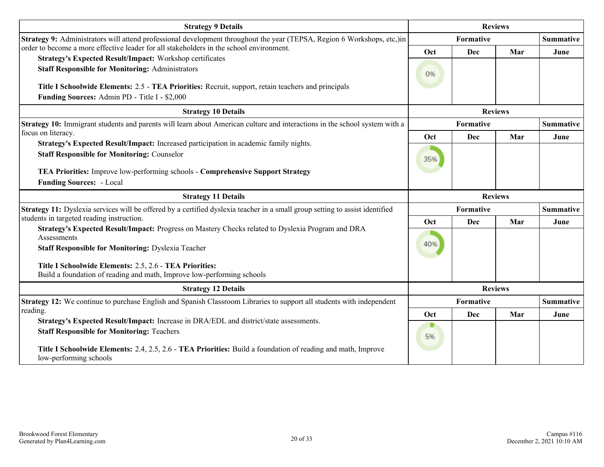| <b>Strategy 9 Details</b>                                                                                                                                                                                                                                                                                          |            | <b>Reviews</b> |                |                  |
|--------------------------------------------------------------------------------------------------------------------------------------------------------------------------------------------------------------------------------------------------------------------------------------------------------------------|------------|----------------|----------------|------------------|
| Strategy 9: Administrators will attend professional development throughout the year (TEPSA, Region 6 Workshops, etc,)in                                                                                                                                                                                            |            | Formative      |                |                  |
| order to become a more effective leader for all stakeholders in the school environment.                                                                                                                                                                                                                            | Oct        | Dec            | Mar            | June             |
| Strategy's Expected Result/Impact: Workshop certificates<br><b>Staff Responsible for Monitoring: Administrators</b><br>Title I Schoolwide Elements: 2.5 - TEA Priorities: Recruit, support, retain teachers and principals<br>Funding Sources: Admin PD - Title I - \$2,000                                        | 0%         |                |                |                  |
| <b>Strategy 10 Details</b>                                                                                                                                                                                                                                                                                         |            |                | <b>Reviews</b> |                  |
| Strategy 10: Immigrant students and parents will learn about American culture and interactions in the school system with a                                                                                                                                                                                         |            | Formative      |                | <b>Summative</b> |
| focus on literacy.                                                                                                                                                                                                                                                                                                 | Oct        | Dec            | Mar            | June             |
| Strategy's Expected Result/Impact: Increased participation in academic family nights.<br><b>Staff Responsible for Monitoring: Counselor</b><br>TEA Priorities: Improve low-performing schools - Comprehensive Support Strategy                                                                                     | 35%        |                |                |                  |
| <b>Funding Sources: - Local</b>                                                                                                                                                                                                                                                                                    |            |                |                |                  |
| <b>Strategy 11 Details</b>                                                                                                                                                                                                                                                                                         |            | <b>Reviews</b> |                |                  |
| Strategy 11: Dyslexia services will be offered by a certified dyslexia teacher in a small group setting to assist identified<br>students in targeted reading instruction.                                                                                                                                          |            | Formative      |                | <b>Summative</b> |
| Strategy's Expected Result/Impact: Progress on Mastery Checks related to Dyslexia Program and DRA<br>Assessments<br><b>Staff Responsible for Monitoring: Dyslexia Teacher</b><br>Title I Schoolwide Elements: 2.5, 2.6 - TEA Priorities:<br>Build a foundation of reading and math, Improve low-performing schools | Oct<br>40% | Dec            | Mar            | June             |
| <b>Strategy 12 Details</b>                                                                                                                                                                                                                                                                                         |            |                | <b>Reviews</b> |                  |
| Strategy 12: We continue to purchase English and Spanish Classroom Libraries to support all students with independent                                                                                                                                                                                              |            | Formative      |                | <b>Summative</b> |
| reading.<br>Strategy's Expected Result/Impact: Increase in DRA/EDL and district/state assessments.                                                                                                                                                                                                                 | Oct        | Dec            | Mar            | June             |
| <b>Staff Responsible for Monitoring: Teachers</b>                                                                                                                                                                                                                                                                  | 5%         |                |                |                  |
| Title I Schoolwide Elements: 2.4, 2.5, 2.6 - TEA Priorities: Build a foundation of reading and math, Improve<br>low-performing schools                                                                                                                                                                             |            |                |                |                  |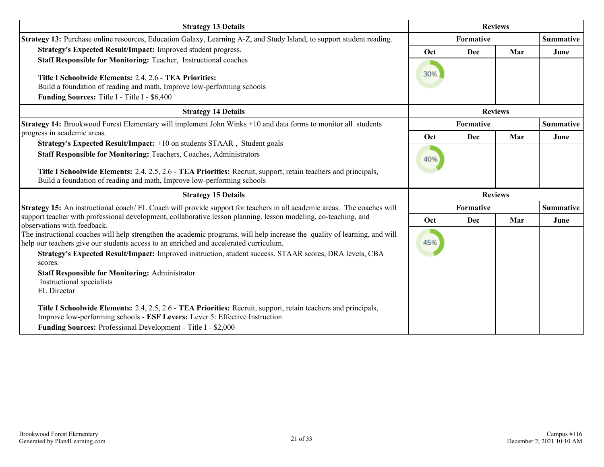| <b>Strategy 13 Details</b>                                                                                                                                                                                                                                                                                                                                                                          |           | <b>Reviews</b> |                |                  |  |
|-----------------------------------------------------------------------------------------------------------------------------------------------------------------------------------------------------------------------------------------------------------------------------------------------------------------------------------------------------------------------------------------------------|-----------|----------------|----------------|------------------|--|
| Strategy 13: Purchase online resources, Education Galaxy, Learning A-Z, and Study Island, to support student reading.                                                                                                                                                                                                                                                                               | Formative |                |                | <b>Summative</b> |  |
| Strategy's Expected Result/Impact: Improved student progress.                                                                                                                                                                                                                                                                                                                                       | Oct       | Dec            | Mar            | June             |  |
| Staff Responsible for Monitoring: Teacher, Instructional coaches<br>Title I Schoolwide Elements: 2.4, 2.6 - TEA Priorities:<br>Build a foundation of reading and math, Improve low-performing schools<br><b>Funding Sources:</b> Title I - Title I - \$6,400                                                                                                                                        | 30%       |                |                |                  |  |
| <b>Strategy 14 Details</b>                                                                                                                                                                                                                                                                                                                                                                          |           |                | <b>Reviews</b> |                  |  |
| Strategy 14: Brookwood Forest Elementary will implement John Winks +10 and data forms to monitor all students                                                                                                                                                                                                                                                                                       |           | Formative      |                | <b>Summative</b> |  |
| progress in academic areas.                                                                                                                                                                                                                                                                                                                                                                         | Oct       | Dec            | Mar            | June             |  |
| Strategy's Expected Result/Impact: +10 on students STAAR, Student goals<br>Staff Responsible for Monitoring: Teachers, Coaches, Administrators                                                                                                                                                                                                                                                      | 40%       |                |                |                  |  |
| Title I Schoolwide Elements: 2.4, 2.5, 2.6 - TEA Priorities: Recruit, support, retain teachers and principals,<br>Build a foundation of reading and math, Improve low-performing schools                                                                                                                                                                                                            |           |                |                |                  |  |
| <b>Strategy 15 Details</b>                                                                                                                                                                                                                                                                                                                                                                          |           |                | <b>Reviews</b> |                  |  |
| <b>Strategy 15:</b> An instructional coach/EL Coach will provide support for teachers in all academic areas. The coaches will                                                                                                                                                                                                                                                                       |           | Formative      |                | <b>Summative</b> |  |
| support teacher with professional development, collaborative lesson planning. lesson modeling, co-teaching, and<br>observations with feedback.                                                                                                                                                                                                                                                      | Oct       | Dec            | Mar            | June             |  |
| The instructional coaches will help strengthen the academic programs, will help increase the quality of learning, and will<br>help our teachers give our students access to an enriched and accelerated curriculum.<br>Strategy's Expected Result/Impact: Improved instruction, student success. STAAR scores, DRA levels, CBA<br>scores.<br><b>Staff Responsible for Monitoring: Administrator</b> | 45%       |                |                |                  |  |
| Instructional specialists<br>EL Director                                                                                                                                                                                                                                                                                                                                                            |           |                |                |                  |  |
| Title I Schoolwide Elements: 2.4, 2.5, 2.6 - TEA Priorities: Recruit, support, retain teachers and principals,<br>Improve low-performing schools - ESF Levers: Lever 5: Effective Instruction                                                                                                                                                                                                       |           |                |                |                  |  |
| Funding Sources: Professional Development - Title I - \$2,000                                                                                                                                                                                                                                                                                                                                       |           |                |                |                  |  |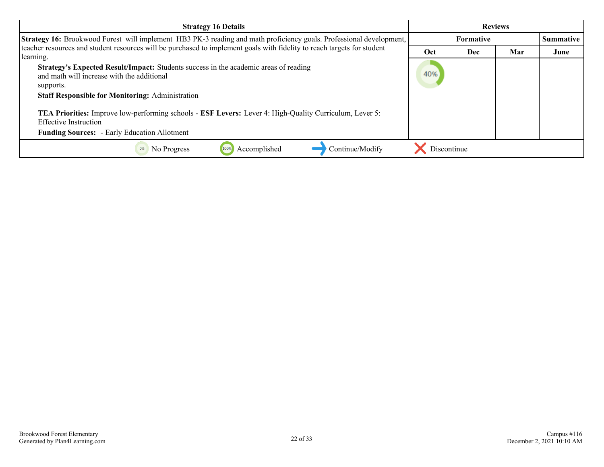| <b>Strategy 16 Details</b>                                                                                                                                                                                                                                                                                                                                                                                                | <b>Reviews</b> |                  |     |      |
|---------------------------------------------------------------------------------------------------------------------------------------------------------------------------------------------------------------------------------------------------------------------------------------------------------------------------------------------------------------------------------------------------------------------------|----------------|------------------|-----|------|
| Strategy 16: Brookwood Forest will implement HB3 PK-3 reading and math proficiency goals. Professional development,                                                                                                                                                                                                                                                                                                       |                | <b>Formative</b> |     |      |
| teacher resources and student resources will be purchased to implement goals with fidelity to reach targets for student                                                                                                                                                                                                                                                                                                   | Oct            | Dec              | Mar | June |
| learning.<br>Strategy's Expected Result/Impact: Students success in the academic areas of reading<br>and math will increase with the additional<br>supports.<br><b>Staff Responsible for Monitoring: Administration</b><br>TEA Priorities: Improve low-performing schools - ESF Levers: Lever 4: High-Quality Curriculum, Lever 5:<br><b>Effective Instruction</b><br><b>Funding Sources:</b> - Early Education Allotment | 40%            |                  |     |      |
| Accomplished<br>Continue/Modify<br>No Progress<br>100%                                                                                                                                                                                                                                                                                                                                                                    | Discontinue    |                  |     |      |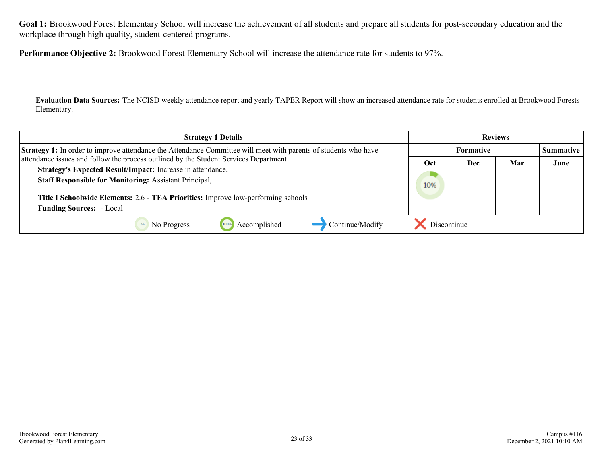**Goal 1:** Brookwood Forest Elementary School will increase the achievement of all students and prepare all students for post-secondary education and the workplace through high quality, student-centered programs.

**Performance Objective 2:** Brookwood Forest Elementary School will increase the attendance rate for students to 97%.

**Evaluation Data Sources:** The NCISD weekly attendance report and yearly TAPER Report will show an increased attendance rate for students enrolled at Brookwood Forests Elementary.

| <b>Strategy 1 Details</b>                                                                                              | <b>Reviews</b> |                  |     |      |
|------------------------------------------------------------------------------------------------------------------------|----------------|------------------|-----|------|
| <b>Strategy 1:</b> In order to improve attendance the Attendance Committee will meet with parents of students who have |                | <b>Formative</b> |     |      |
| attendance issues and follow the process outlined by the Student Services Department.                                  | Oct            | Dec              | Mar | June |
| Strategy's Expected Result/Impact: Increase in attendance.                                                             |                |                  |     |      |
| <b>Staff Responsible for Monitoring: Assistant Principal,</b>                                                          | 10%            |                  |     |      |
| Title I Schoolwide Elements: 2.6 - TEA Priorities: Improve low-performing schools                                      |                |                  |     |      |
| <b>Funding Sources: - Local</b>                                                                                        |                |                  |     |      |
| Continue/Modify<br>Accomplished<br>No Progress                                                                         | Discontinue    |                  |     |      |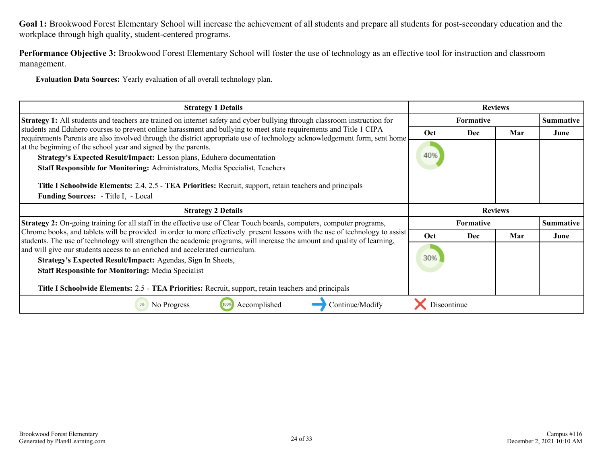**Goal 1:** Brookwood Forest Elementary School will increase the achievement of all students and prepare all students for post-secondary education and the workplace through high quality, student-centered programs.

**Performance Objective 3:** Brookwood Forest Elementary School will foster the use of technology as an effective tool for instruction and classroom management.

**Evaluation Data Sources:** Yearly evaluation of all overall technology plan.

| <b>Strategy 1 Details</b>                                                                                                                                                                                                                                                                                                                                                                                                                                                                                                                                                                                                             |             |                  | <b>Reviews</b> |                  |
|---------------------------------------------------------------------------------------------------------------------------------------------------------------------------------------------------------------------------------------------------------------------------------------------------------------------------------------------------------------------------------------------------------------------------------------------------------------------------------------------------------------------------------------------------------------------------------------------------------------------------------------|-------------|------------------|----------------|------------------|
| Strategy 1: All students and teachers are trained on internet safety and cyber bullying through classroom instruction for                                                                                                                                                                                                                                                                                                                                                                                                                                                                                                             |             | <b>Formative</b> |                | <b>Summative</b> |
| students and Eduhero courses to prevent online harassment and bullying to meet state requirements and Title 1 CIPA<br>requirements Parents are also involved through the district appropriate use of technology acknowledgement form, sent home<br>at the beginning of the school year and signed by the parents.<br>Strategy's Expected Result/Impact: Lesson plans, Eduhero documentation<br>Staff Responsible for Monitoring: Administrators, Media Specialist, Teachers<br>Title I Schoolwide Elements: 2.4, 2.5 - TEA Priorities: Recruit, support, retain teachers and principals<br><b>Funding Sources:</b> - Title I, - Local | Oct<br>40%  | Dec              | Mar            | June             |
| <b>Strategy 2 Details</b>                                                                                                                                                                                                                                                                                                                                                                                                                                                                                                                                                                                                             |             |                  | <b>Reviews</b> |                  |
| <b>Strategy 2:</b> On-going training for all staff in the effective use of Clear Touch boards, computers, computer programs,                                                                                                                                                                                                                                                                                                                                                                                                                                                                                                          |             | Formative        |                | <b>Summative</b> |
| Chrome books, and tablets will be provided in order to more effectively present lessons with the use of technology to assist<br>students. The use of technology will strengthen the academic programs, will increase the amount and quality of learning,                                                                                                                                                                                                                                                                                                                                                                              | <b>Oct</b>  | <b>Dec</b>       | Mar            | June             |
| and will give our students access to an enriched and accelerated curriculum.<br>Strategy's Expected Result/Impact: Agendas, Sign In Sheets,                                                                                                                                                                                                                                                                                                                                                                                                                                                                                           | 30%         |                  |                |                  |
| <b>Staff Responsible for Monitoring: Media Specialist</b>                                                                                                                                                                                                                                                                                                                                                                                                                                                                                                                                                                             |             |                  |                |                  |
| Title I Schoolwide Elements: 2.5 - TEA Priorities: Recruit, support, retain teachers and principals                                                                                                                                                                                                                                                                                                                                                                                                                                                                                                                                   |             |                  |                |                  |
| Accomplished<br>Continue/Modify<br>No Progress<br>100%                                                                                                                                                                                                                                                                                                                                                                                                                                                                                                                                                                                | Discontinue |                  |                |                  |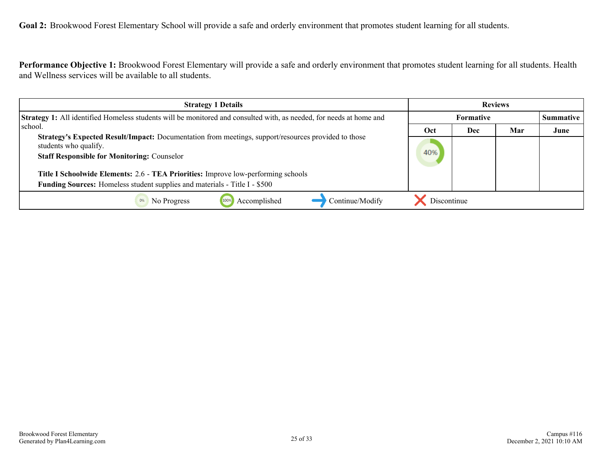<span id="page-24-0"></span>**Goal 2:** Brookwood Forest Elementary School will provide a safe and orderly environment that promotes student learning for all students.

**Performance Objective 1:** Brookwood Forest Elementary will provide a safe and orderly environment that promotes student learning for all students. Health and Wellness services will be available to all students.

| <b>Strategy 1 Details</b>                                                                                                                                                                 | <b>Reviews</b> |                  |     |           |
|-------------------------------------------------------------------------------------------------------------------------------------------------------------------------------------------|----------------|------------------|-----|-----------|
| <b>Strategy 1:</b> All identified Homeless students will be monitored and consulted with, as needed, for needs at home and                                                                |                | <b>Formative</b> |     | Summative |
| school.                                                                                                                                                                                   | Oct            | Dec              | Mar | June      |
| <b>Strategy's Expected Result/Impact:</b> Documentation from meetings, support/resources provided to those<br>students who qualify.<br><b>Staff Responsible for Monitoring: Counselor</b> |                |                  |     |           |
| Title I Schoolwide Elements: 2.6 - TEA Priorities: Improve low-performing schools                                                                                                         |                |                  |     |           |
| <b>Funding Sources:</b> Homeless student supplies and materials - Title I - \$500                                                                                                         |                |                  |     |           |
| Accomplished<br>Continue/Modify<br>No Progress                                                                                                                                            | Discontinue    |                  |     |           |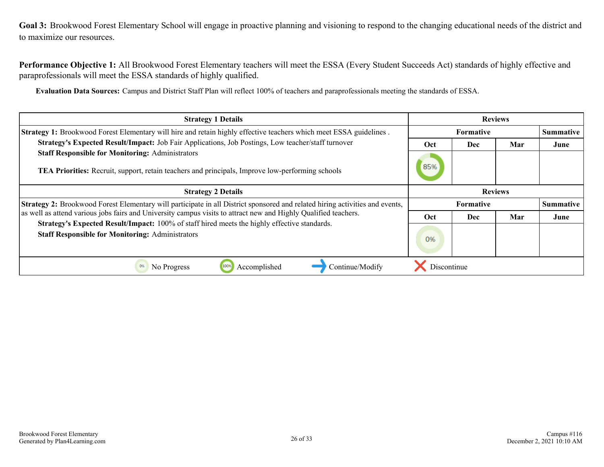<span id="page-25-0"></span>**Performance Objective 1:** All Brookwood Forest Elementary teachers will meet the ESSA (Every Student Succeeds Act) standards of highly effective and paraprofessionals will meet the ESSA standards of highly qualified.

**Evaluation Data Sources:** Campus and District Staff Plan will reflect 100% of teachers and paraprofessionals meeting the standards of ESSA.

| <b>Strategy 1 Details</b>                                                                                                                                                                                                                       | <b>Reviews</b> |                               |                |      |
|-------------------------------------------------------------------------------------------------------------------------------------------------------------------------------------------------------------------------------------------------|----------------|-------------------------------|----------------|------|
| Strategy 1: Brookwood Forest Elementary will hire and retain highly effective teachers which meet ESSA guidelines.                                                                                                                              |                | <b>Formative</b>              |                |      |
| Strategy's Expected Result/Impact: Job Fair Applications, Job Postings, Low teacher/staff turnover                                                                                                                                              | Oct            | Dec                           | Mar            | June |
| <b>Staff Responsible for Monitoring: Administrators</b><br>TEA Priorities: Recruit, support, retain teachers and principals, Improve low-performing schools                                                                                     |                |                               |                |      |
| <b>Strategy 2 Details</b>                                                                                                                                                                                                                       |                |                               | <b>Reviews</b> |      |
| Strategy 2: Brookwood Forest Elementary will participate in all District sponsored and related hiring activities and events,<br>as well as attend various jobs fairs and University campus visits to attract new and Highly Qualified teachers. |                | Summative<br><b>Formative</b> |                |      |
|                                                                                                                                                                                                                                                 |                | <b>Dec</b>                    | Mar            | June |
| Strategy's Expected Result/Impact: 100% of staff hired meets the highly effective standards.<br><b>Staff Responsible for Monitoring: Administrators</b>                                                                                         | 0%             |                               |                |      |
| 0%<br>Continue/Modify<br>No Progress<br>Accomplished                                                                                                                                                                                            | Discontinue    |                               |                |      |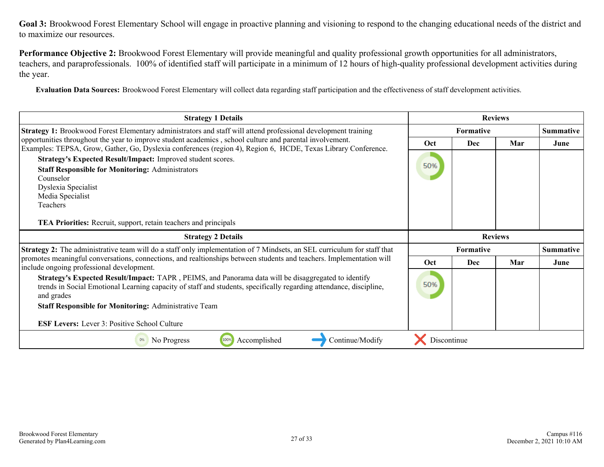**Performance Objective 2:** Brookwood Forest Elementary will provide meaningful and quality professional growth opportunities for all administrators, teachers, and paraprofessionals. 100% of identified staff will participate in a minimum of 12 hours of high-quality professional development activities during the year.

**Evaluation Data Sources:** Brookwood Forest Elementary will collect data regarding staff participation and the effectiveness of staff development activities.

| <b>Strategy 1 Details</b>                                                                                                                                                                                                                                                                |                  | <b>Reviews</b>   |                  |                  |
|------------------------------------------------------------------------------------------------------------------------------------------------------------------------------------------------------------------------------------------------------------------------------------------|------------------|------------------|------------------|------------------|
| Strategy 1: Brookwood Forest Elementary administrators and staff will attend professional development training                                                                                                                                                                           | <b>Formative</b> |                  | <b>Summative</b> |                  |
| opportunities throughout the year to improve student academics, school culture and parental involvement.<br>Examples: TEPSA, Grow, Gather, Go, Dyslexia conferences (region 4), Region 6, HCDE, Texas Library Conference.<br>Strategy's Expected Result/Impact: Improved student scores. |                  | <b>Dec</b>       | Mar              | June             |
|                                                                                                                                                                                                                                                                                          |                  |                  |                  |                  |
| <b>Staff Responsible for Monitoring: Administrators</b>                                                                                                                                                                                                                                  | 50%              |                  |                  |                  |
| Counselor                                                                                                                                                                                                                                                                                |                  |                  |                  |                  |
| Dyslexia Specialist                                                                                                                                                                                                                                                                      |                  |                  |                  |                  |
| Media Specialist                                                                                                                                                                                                                                                                         |                  |                  |                  |                  |
| Teachers                                                                                                                                                                                                                                                                                 |                  |                  |                  |                  |
| <b>TEA Priorities:</b> Recruit, support, retain teachers and principals                                                                                                                                                                                                                  |                  |                  |                  |                  |
|                                                                                                                                                                                                                                                                                          |                  |                  |                  |                  |
| <b>Strategy 2 Details</b>                                                                                                                                                                                                                                                                |                  | <b>Reviews</b>   |                  |                  |
| Strategy 2: The administrative team will do a staff only implementation of 7 Mindsets, an SEL curriculum for staff that                                                                                                                                                                  |                  | <b>Formative</b> |                  | <b>Summative</b> |
| promotes meaningful conversations, connections, and realtionships between students and teachers. Implementation will                                                                                                                                                                     | <b>Oct</b>       | Dec              | Mar              | June             |
| include ongoing professional development.<br>Strategy's Expected Result/Impact: TAPR, PEIMS, and Panorama data will be disaggregated to identify<br>trends in Social Emotional Learning capacity of staff and students, specifically regarding attendance, discipline,                   | 50%              |                  |                  |                  |
| and grades                                                                                                                                                                                                                                                                               |                  |                  |                  |                  |
| <b>Staff Responsible for Monitoring: Administrative Team</b>                                                                                                                                                                                                                             |                  |                  |                  |                  |
| <b>ESF Levers:</b> Lever 3: Positive School Culture                                                                                                                                                                                                                                      |                  |                  |                  |                  |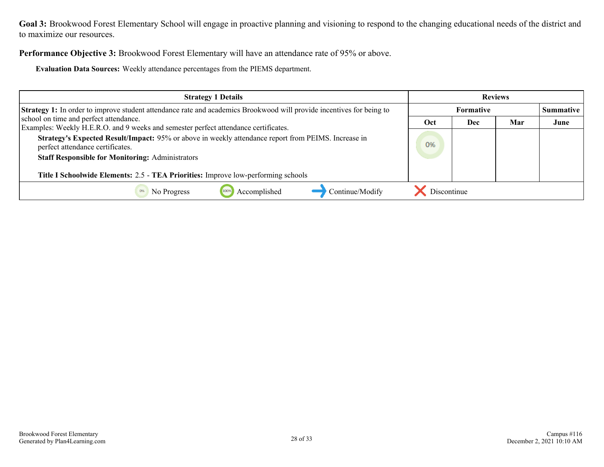**Performance Objective 3:** Brookwood Forest Elementary will have an attendance rate of 95% or above.

**Evaluation Data Sources:** Weekly attendance percentages from the PIEMS department.

| <b>Strategy 1 Details</b>                                                                                                                                                                                                                                                               | <b>Reviews</b> |                  |     |           |
|-----------------------------------------------------------------------------------------------------------------------------------------------------------------------------------------------------------------------------------------------------------------------------------------|----------------|------------------|-----|-----------|
| <b>Strategy 1:</b> In order to improve student attendance rate and academics Brookwood will provide incentives for being to                                                                                                                                                             |                | <b>Formative</b> |     | Summative |
| school on time and perfect attendance.<br>Examples: Weekly H.E.R.O. and 9 weeks and semester perfect attendance certificates.                                                                                                                                                           | Oct            | Dec              | Mar | June      |
| Strategy's Expected Result/Impact: 95% or above in weekly attendance report from PEIMS. Increase in<br>perfect attendance certificates.<br><b>Staff Responsible for Monitoring: Administrators</b><br>Title I Schoolwide Elements: 2.5 - TEA Priorities: Improve low-performing schools | 0%             |                  |     |           |
| Accomplished<br>Continue/Modify<br>No Progress                                                                                                                                                                                                                                          | Discontinue    |                  |     |           |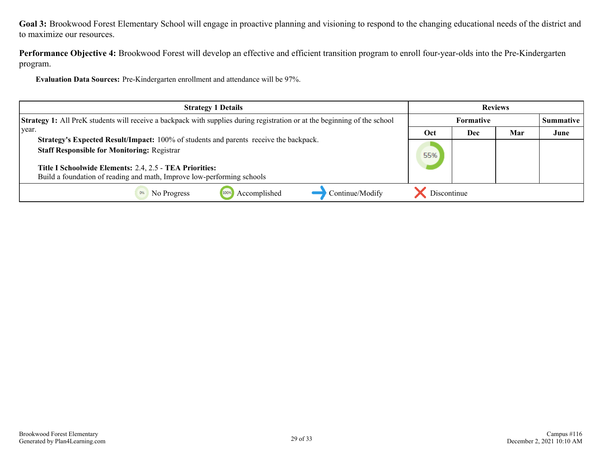**Performance Objective 4:** Brookwood Forest will develop an effective and efficient transition program to enroll four-year-olds into the Pre-Kindergarten program.

**Evaluation Data Sources:** Pre-Kindergarten enrollment and attendance will be 97%.

| <b>Strategy 1 Details</b>                                                                                                        |             |                  | <b>Reviews</b> |                  |
|----------------------------------------------------------------------------------------------------------------------------------|-------------|------------------|----------------|------------------|
| <b>Strategy 1:</b> All PreK students will receive a backpack with supplies during registration or at the beginning of the school |             | <b>Formative</b> |                | <b>Summative</b> |
| vear.                                                                                                                            | Oct         | Dec              | Mar            | June             |
| Strategy's Expected Result/Impact: 100% of students and parents receive the backpack.                                            |             |                  |                |                  |
| <b>Staff Responsible for Monitoring: Registrar</b>                                                                               |             |                  |                |                  |
| Title I Schoolwide Elements: 2.4, 2.5 - TEA Priorities:                                                                          |             |                  |                |                  |
| Build a foundation of reading and math, Improve low-performing schools                                                           |             |                  |                |                  |
| Continue/Modify<br>Accomplished<br>No Progress<br>1009                                                                           | Discontinue |                  |                |                  |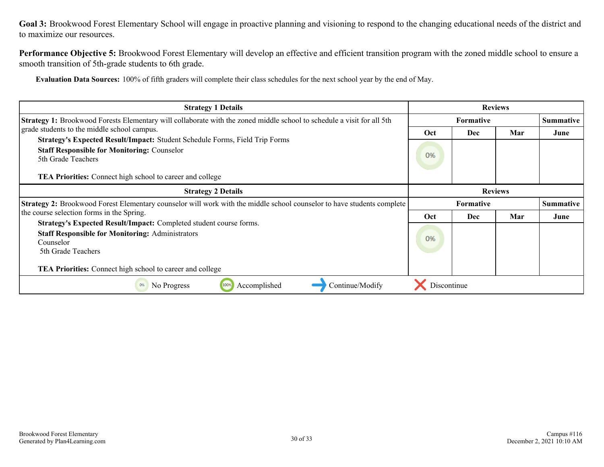**Performance Objective 5:** Brookwood Forest Elementary will develop an effective and efficient transition program with the zoned middle school to ensure a smooth transition of 5th-grade students to 6th grade.

**Evaluation Data Sources:** 100% of fifth graders will complete their class schedules for the next school year by the end of May.

| <b>Strategy 1 Details</b>                                                                                                                                                                              |                  | <b>Reviews</b>   |                  |                  |
|--------------------------------------------------------------------------------------------------------------------------------------------------------------------------------------------------------|------------------|------------------|------------------|------------------|
| <b>Strategy 1:</b> Brookwood Forests Elementary will collaborate with the zoned middle school to schedule a visit for all 5th                                                                          | <b>Formative</b> |                  | <b>Summative</b> |                  |
| grade students to the middle school campus.<br>Strategy's Expected Result/Impact: Student Schedule Forms, Field Trip Forms<br><b>Staff Responsible for Monitoring: Counselor</b><br>5th Grade Teachers | Oct<br>0%        | Dec              | Mar              | June             |
| <b>TEA Priorities:</b> Connect high school to career and college                                                                                                                                       |                  |                  |                  |                  |
| <b>Strategy 2 Details</b>                                                                                                                                                                              |                  | <b>Reviews</b>   |                  |                  |
| Strategy 2: Brookwood Forest Elementary counselor will work with the middle school counselor to have students complete                                                                                 |                  | <b>Formative</b> |                  | <b>Summative</b> |
| the course selection forms in the Spring.<br>Strategy's Expected Result/Impact: Completed student course forms.                                                                                        | Oct              | Dec              | Mar              | June             |
| <b>Staff Responsible for Monitoring: Administrators</b><br>Counselor<br>5th Grade Teachers                                                                                                             |                  |                  |                  |                  |
| <b>TEA Priorities:</b> Connect high school to career and college                                                                                                                                       |                  |                  |                  |                  |
| Continue/Modify<br>No Progress<br>100%<br>Accomplished                                                                                                                                                 | Discontinue      |                  |                  |                  |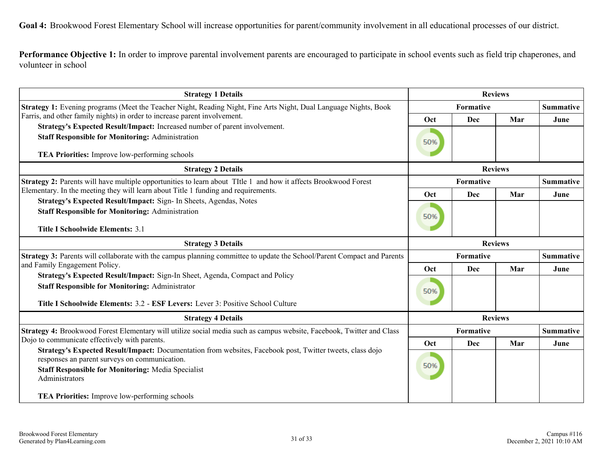<span id="page-30-0"></span>**Goal 4:** Brookwood Forest Elementary School will increase opportunities for parent/community involvement in all educational processes of our district.

**Performance Objective 1:** In order to improve parental involvement parents are encouraged to participate in school events such as field trip chaperones, and volunteer in school

| <b>Strategy 1 Details</b>                                                                                                                                                                                                                 | <b>Reviews</b> |                |                  |                  |  |
|-------------------------------------------------------------------------------------------------------------------------------------------------------------------------------------------------------------------------------------------|----------------|----------------|------------------|------------------|--|
| <b>Strategy 1:</b> Evening programs (Meet the Teacher Night, Reading Night, Fine Arts Night, Dual Language Nights, Book                                                                                                                   | Formative      |                | <b>Summative</b> |                  |  |
| Farris, and other family nights) in order to increase parent involvement.                                                                                                                                                                 | Oct            | Dec            | Mar              | June             |  |
| Strategy's Expected Result/Impact: Increased number of parent involvement.<br><b>Staff Responsible for Monitoring: Administration</b><br>TEA Priorities: Improve low-performing schools                                                   | 50%            |                |                  |                  |  |
| <b>Strategy 2 Details</b>                                                                                                                                                                                                                 |                | <b>Reviews</b> |                  |                  |  |
| <b>Strategy 2:</b> Parents will have multiple opportunities to learn about TItle 1 and how it affects Brookwood Forest                                                                                                                    |                | Formative      |                  | <b>Summative</b> |  |
| Elementary. In the meeting they will learn about Title 1 funding and requirements.                                                                                                                                                        | Oct            | Dec            | Mar              | June             |  |
| Strategy's Expected Result/Impact: Sign- In Sheets, Agendas, Notes<br><b>Staff Responsible for Monitoring: Administration</b>                                                                                                             |                |                |                  |                  |  |
| <b>Title I Schoolwide Elements: 3.1</b>                                                                                                                                                                                                   |                |                |                  |                  |  |
| <b>Strategy 3 Details</b>                                                                                                                                                                                                                 | <b>Reviews</b> |                |                  |                  |  |
| Strategy 3: Parents will collaborate with the campus planning committee to update the School/Parent Compact and Parents<br>and Family Engagement Policy.                                                                                  |                | Formative      |                  | <b>Summative</b> |  |
| Strategy's Expected Result/Impact: Sign-In Sheet, Agenda, Compact and Policy                                                                                                                                                              | Oct            | Dec            | Mar              | June             |  |
| <b>Staff Responsible for Monitoring: Administrator</b><br>Title I Schoolwide Elements: 3.2 - ESF Levers: Lever 3: Positive School Culture                                                                                                 | 50%            |                |                  |                  |  |
| <b>Strategy 4 Details</b>                                                                                                                                                                                                                 | <b>Reviews</b> |                |                  |                  |  |
| Strategy 4: Brookwood Forest Elementary will utilize social media such as campus website, Facebook, Twitter and Class                                                                                                                     | Formative      |                |                  | <b>Summative</b> |  |
| Dojo to communicate effectively with parents.                                                                                                                                                                                             | Oct            | Dec            | Mar              | June             |  |
| Strategy's Expected Result/Impact: Documentation from websites, Facebook post, Twitter tweets, class dojo<br>responses an parent surveys on communication.<br><b>Staff Responsible for Monitoring: Media Specialist</b><br>Administrators | 50%            |                |                  |                  |  |
| <b>TEA Priorities:</b> Improve low-performing schools                                                                                                                                                                                     |                |                |                  |                  |  |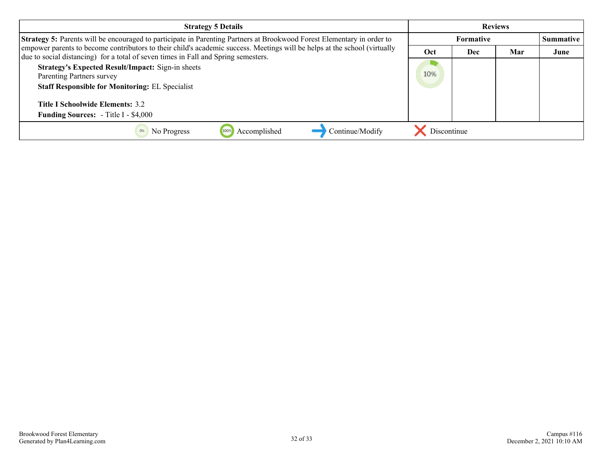| <b>Strategy 5 Details</b>                                                                                                                                                                                       |             |                                      | <b>Reviews</b> |      |
|-----------------------------------------------------------------------------------------------------------------------------------------------------------------------------------------------------------------|-------------|--------------------------------------|----------------|------|
| <b>Strategy 5:</b> Parents will be encouraged to participate in Parenting Partners at Brookwood Forest Elementary in order to                                                                                   |             | <b>Summative</b><br><b>Formative</b> |                |      |
| empower parents to become contributors to their child's academic success. Meetings will be helps at the school (virtually<br>due to social distancing) for a total of seven times in Fall and Spring semesters. | Oct         | Dec                                  | Mar            | June |
| <b>Strategy's Expected Result/Impact: Sign-in sheets</b><br>Parenting Partners survey<br><b>Staff Responsible for Monitoring: EL Specialist</b>                                                                 |             |                                      |                |      |
| <b>Title I Schoolwide Elements: 3.2</b>                                                                                                                                                                         |             |                                      |                |      |
| <b>Funding Sources:</b> - Title I - \$4,000                                                                                                                                                                     |             |                                      |                |      |
| Continue/Modify<br>Accomplished<br>No Progress                                                                                                                                                                  | Discontinue |                                      |                |      |